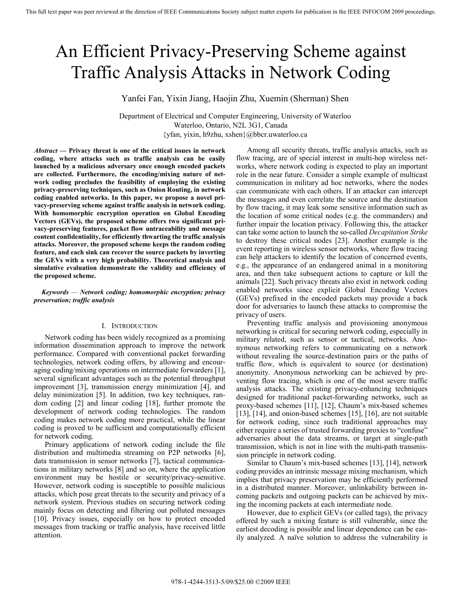# An Efficient Privacy-Preserving Scheme against Traffic Analysis Attacks in Network Coding

Yanfei Fan, Yixin Jiang, Haojin Zhu, Xuemin (Sherman) Shen

Department of Electrical and Computer Engineering, University of Waterloo Waterloo, Ontario, N2L 3G1, Canada {yfan, yixin, h9zhu, xshen}@bbcr.uwaterloo.ca

*Abstract —* **Privacy threat is one of the critical issues in network coding, where attacks such as traffic analysis can be easily launched by a malicious adversary once enough encoded packets are collected. Furthermore, the encoding/mixing nature of network coding precludes the feasibility of employing the existing privacy-preserving techniques, such as Onion Routing, in network coding enabled networks. In this paper, we propose a novel privacy-preserving scheme against traffic analysis in network coding. With homomorphic encryption operation on Global Encoding Vectors (GEVs), the proposed scheme offers two significant privacy-preserving features, packet flow untraceability and message content confidentiality, for efficiently thwarting the traffic analysis attacks. Moreover, the proposed scheme keeps the random coding feature, and each sink can recover the source packets by inverting the GEVs with a very high probability. Theoretical analysis and simulative evaluation demonstrate the validity and efficiency of the proposed scheme.** 

*Keywords* — *Network coding; homomorphic encryption; privacy preservation; traffic analysis* 

# I. INTRODUCTION

Network coding has been widely recognized as a promising information dissemination approach to improve the network performance. Compared with conventional packet forwarding technologies, network coding offers, by allowing and encouraging coding/mixing operations on intermediate forwarders [1], several significant advantages such as the potential throughput improvement [3], transmission energy minimization [4], and delay minimization [5]. In addition, two key techniques, random coding [2] and linear coding [18], further promote the development of network coding technologies. The random coding makes network coding more practical, while the linear coding is proved to be sufficient and computationally efficient for network coding.

Primary applications of network coding include the file distribution and multimedia streaming on P2P networks [6], data transmission in sensor networks [7], tactical communications in military networks [8] and so on, where the application environment may be hostile or security/privacy-sensitive. However, network coding is susceptible to possible malicious attacks, which pose great threats to the security and privacy of a network system. Previous studies on securing network coding mainly focus on detecting and filtering out polluted messages [10]. Privacy issues, especially on how to protect encoded messages from tracking or traffic analysis, have received little attention.

Among all security threats, traffic analysis attacks, such as flow tracing, are of special interest in multi-hop wireless networks, where network coding is expected to play an important role in the near future. Consider a simple example of multicast communication in military ad hoc networks, where the nodes can communicate with each others. If an attacker can intercept the messages and even correlate the source and the destination by flow tracing, it may leak some sensitive information such as the location of some critical nodes (e.g. the commanders) and further impair the location privacy. Following this, the attacker can take some action to launch the so-called *Decapitation Strike*  to destroy these critical nodes [23]. Another example is the event reporting in wireless sensor networks, where flow tracing can help attackers to identify the location of concerned events, e.g., the appearance of an endangered animal in a monitoring area, and then take subsequent actions to capture or kill the animals [22]. Such privacy threats also exist in network coding enabled networks since explicit Global Encoding Vectors (GEVs) prefixed in the encoded packets may provide a back door for adversaries to launch these attacks to compromise the privacy of users.

Preventing traffic analysis and provisioning anonymous networking is critical for securing network coding, especially in military related, such as sensor or tactical, networks. Anonymous networking refers to communicating on a network without revealing the source-destination pairs or the paths of traffic flow, which is equivalent to source (or destination) anonymity. Anonymous networking can be achieved by preventing flow tracing, which is one of the most severe traffic analysis attacks. The existing privacy-enhancing techniques designed for traditional packet-forwarding networks, such as proxy-based schemes [11], [12], Chaum's mix-based schemes [13], [14], and onion-based schemes [15], [16], are not suitable for network coding, since such traditional approaches may either require a series of trusted forwarding proxies to "confuse" adversaries about the data streams, or target at single-path transmission, which is not in line with the multi-path transmission principle in network coding.

Similar to Chaum's mix-based schemes [13], [14], network coding provides an intrinsic message mixing mechanism, which implies that privacy preservation may be efficiently performed in a distributed manner. Moreover, unlinkability between incoming packets and outgoing packets can be achieved by mixing the incoming packets at each intermediate node.

However, due to explicit GEVs (or called tags), the privacy offered by such a mixing feature is still vulnerable, since the earliest decoding is possible and linear dependence can be easily analyzed. A naïve solution to address the vulnerability is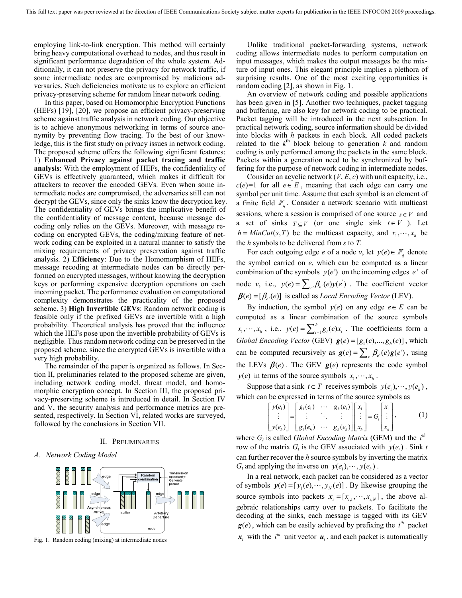employing link-to-link encryption. This method will certainly bring heavy computational overhead to nodes, and thus result in significant performance degradation of the whole system. Additionally, it can not preserve the privacy for network traffic, if some intermediate nodes are compromised by malicious adversaries. Such deficiencies motivate us to explore an efficient privacy-preserving scheme for random linear network coding.

In this paper, based on Homomorphic Encryption Functions (HEFs) [19], [20], we propose an efficient privacy-preserving scheme against traffic analysis in network coding. Our objective is to achieve anonymous networking in terms of source anonymity by preventing flow tracing. To the best of our knowledge, this is the first study on privacy issues in network coding. The proposed scheme offers the following significant features: 1) **Enhanced Privacy against packet tracing and traffic analysis**: With the employment of HEFs, the confidentiality of GEVs is effectively guaranteed, which makes it difficult for attackers to recover the encoded GEVs. Even when some intermediate nodes are compromised, the adversaries still can not decrypt the GEVs, since only the sinks know the decryption key. The confidentiality of GEVs brings the implicative benefit of the confidentiality of message content, because message decoding only relies on the GEVs. Moreover, with message recoding on encrypted GEVs, the coding/mixing feature of network coding can be exploited in a natural manner to satisfy the mixing requirements of privacy preservation against traffic analysis. 2) **Efficiency**: Due to the Homomorphism of HEFs, message recoding at intermediate nodes can be directly performed on encrypted messages, without knowing the decryption keys or performing expensive decryption operations on each incoming packet. The performance evaluation on computational complexity demonstrates the practicality of the proposed scheme. 3) **High Invertible GEVs**: Random network coding is feasible only if the prefixed GEVs are invertible with a high probability. Theoretical analysis has proved that the influence which the HEFs pose upon the invertible probability of GEVs is negligible. Thus random network coding can be preserved in the proposed scheme, since the encrypted GEVs is invertible with a very high probability.

The remainder of the paper is organized as follows. In Section II, preliminaries related to the proposed scheme are given, including network coding model, threat model, and homomorphic encryption concept. In Section III, the proposed privacy-preserving scheme is introduced in detail. In Section IV and V, the security analysis and performance metrics are presented, respectively. In Section VI, related works are surveyed, followed by the conclusions in Section VII.

#### II. PRELIMINARIES

# *A. Network Coding Model*



Fig. 1. Random coding (mixing) at intermediate nodes

Unlike traditional packet-forwarding systems, network coding allows intermediate nodes to perform computation on input messages, which makes the output messages be the mixture of input ones. This elegant principle implies a plethora of surprising results. One of the most exciting opportunities is random coding [2], as shown in Fig. 1.

An overview of network coding and possible applications has been given in [5]. Another two techniques, packet tagging and buffering, are also key for network coding to be practical. Packet tagging will be introduced in the next subsection. In practical network coding, source information should be divided into blocks with *h* packets in each block. All coded packets related to the  $k^{\text{th}}$  block belong to generation  $k$  and random coding is only performed among the packets in the same block. Packets within a generation need to be synchronized by buffering for the purpose of network coding in intermediate nodes.

Consider an acyclic network (*V*, *E*, *c*) with unit capacity, i.e.,  $c(e)=1$  for all  $e \in E$ , meaning that each edge can carry one symbol per unit time. Assume that each symbol is an element of a finite field  $\mathbb{F}_q$ . Consider a network scenario with multicast sessions, where a session is comprised of one source  $s \in V$  and a set of sinks  $T \subseteq V$  (or one single sink  $t \in V$ ). Let  $h = MinCut(s, T)$  be the multicast capacity, and  $x_1, \dots, x_k$  be the *h* symbols to be delivered from *s* to *T*.

For each outgoing edge *e* of a node *v*, let  $y(e) \in \mathbb{F}_q$  denote the symbol carried on *e*, which can be computed as a linear combination of the symbols  $y(e')$  on the incoming edges  $e'$  of node *v*, i.e.,  $y(e) = \sum_{e'} \beta_{e'}(e)y(e')$ . The coefficient vector  $\boldsymbol{\beta}(e) = [\beta_{e'}(e)]$  is called as *Local Encoding Vector* (LEV).

By induction, the symbol  $y(e)$  on any edge  $e \in E$  can be computed as a linear combination of the source symbols  $x_1, \dots, x_h$ , i.e.,  $y(e) = \sum_{i=1}^h g_i(e)x_i$ . The coefficients form a *Global Encoding Vector* (GEV)  $g(e) = [g_1(e),..., g_h(e)]$ , which can be computed recursively as  $g(e) = \sum_{e'} \beta_e(e) g(e')$ , using the LEVs  $\beta(e)$ . The GEV  $g(e)$  represents the code symbol  $y(e)$  in terms of the source symbols  $x_1, \dots, x_k$ .

Suppose that a sink  $t \in T$  receives symbols  $y(e_1), \dots, y(e_k)$ , which can be expressed in terms of the source symbols as

$$
\begin{bmatrix} y(e_1) \\ \vdots \\ y(e_h) \end{bmatrix} = \begin{bmatrix} g_1(e_1) & \cdots & g_h(e_1) \\ \vdots & \ddots & \vdots \\ g_1(e_h) & \cdots & g_h(e_h) \end{bmatrix} \begin{bmatrix} x_1 \\ \vdots \\ x_h \end{bmatrix} = G_t \begin{bmatrix} x_1 \\ \vdots \\ x_h \end{bmatrix},
$$
 (1)

where  $G_t$  is called *Global Encoding Matrix* (GEM) and the  $i^{th}$ row of the matrix  $G_t$  is the GEV associated with  $y(e_i)$ . Sink *t* can further recover the *h* source symbols by inverting the matrix  $G_t$  and applying the inverse on  $y(e_1), \dots, y(e_h)$ .

In a real network, each packet can be considered as a vector of symbols  $y(e) = [y_1(e), \dots, y_N(e)]$ . By likewise grouping the source symbols into packets  $x_i = [x_{i1}, \dots, x_{iN}]$ , the above algebraic relationships carry over to packets. To facilitate the decoding at the sinks, each message is tagged with its GEV  $g(e)$ , which can be easily achieved by prefixing the  $i<sup>th</sup>$  packet  $\mathbf{x}_i$  with the  $i^{\text{th}}$  unit vector  $\mathbf{u}_i$ , and each packet is automatically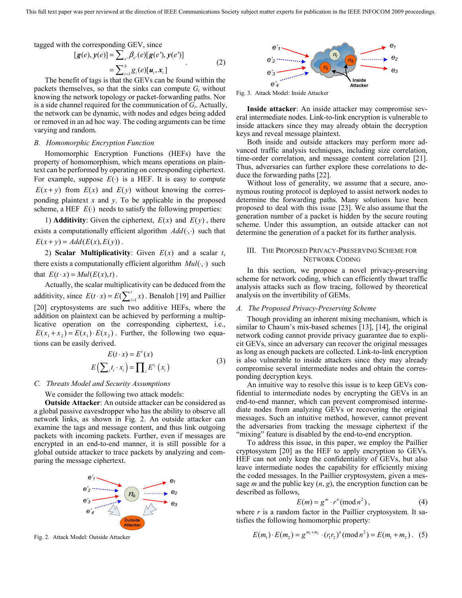tagged with the corresponding GEV, since

$$
[\mathbf{g}(e), \mathbf{y}(e)] = \sum_{e'} \beta_{e'}(e) [\mathbf{g}(e'), \mathbf{y}(e')] = \sum_{i=1}^{h} g_i(e) [\mathbf{u}_i, \mathbf{x}_i]
$$
 (2)

The benefit of tags is that the GEVs can be found within the packets themselves, so that the sinks can compute  $G_t$  without knowing the network topology or packet-forwarding paths. Nor is a side channel required for the communication of  $G_t$ . Actually, the network can be dynamic, with nodes and edges being added or removed in an ad hoc way. The coding arguments can be time varying and random.

#### *B. Homomorphic Encryption Function*

Homomorphic Encryption Functions (HEFs) have the property of homomorphism, which means operations on plaintext can be performed by operating on corresponding ciphertext. For example, suppose  $E(\cdot)$  is a HEF. It is easy to compute  $E(x + y)$  from  $E(x)$  and  $E(y)$  without knowing the corresponding plaintext *x* and *y*. To be applicable in the proposed scheme, a HEF  $E(\cdot)$  needs to satisfy the following properties:

1) **Additivity**: Given the ciphertext,  $E(x)$  and  $E(y)$ , there exists a computationally efficient algorithm  $Add( \cdot, \cdot)$  such that  $E(x + y) = Add(E(x), E(y))$ .

2) **Scalar Multiplicativity**: Given  $E(x)$  and a scalar *t*, there exists a computationally efficient algorithm  $Mul( \cdot, \cdot)$  such that  $E(t \cdot x) = Mul(E(x), t)$ .

Actually, the scalar multiplicativity can be deduced from the additivity, since  $E(t \cdot x) = E(\sum_{i=1}^{t} x)$ . Benaloh [19] and Paillier [20] cryptosystems are such two additive HEFs, where the addition on plaintext can be achieved by performing a multiplicative operation on the corresponding ciphertext, i.e.,  $E(x_1 + x_2) = E(x_1) \cdot E(x_2)$ . Further, the following two equations can be easily derived.

$$
E(t \cdot x) = E'(x)
$$
  
\n
$$
E\left(\sum_{i} t_{i} \cdot x_{i}\right) = \prod_{i} E^{t_{i}}\left(x_{i}\right)
$$
\n(3)

#### *C. Threats Model and Security Assumptions*

We consider the following two attack models:

**Outside Attacker**: An outside attacker can be considered as a global passive eavesdropper who has the ability to observe all network links, as shown in Fig. 2. An outside attacker can examine the tags and message content, and thus link outgoing packets with incoming packets. Further, even if messages are encrypted in an end-to-end manner, it is still possible for a global outside attacker to trace packets by analyzing and comparing the message ciphertext.



Fig. 2. Attack Model: Outside Attacker



Fig. 3. Attack Model: Inside Attacker

**Inside attacker**: An inside attacker may compromise several intermediate nodes. Link-to-link encryption is vulnerable to inside attackers since they may already obtain the decryption keys and reveal message plaintext.

Both inside and outside attackers may perform more advanced traffic analysis techniques, including size correlation, time-order correlation, and message content correlation [21]. Thus, adversaries can further explore these correlations to deduce the forwarding paths [22].

Without loss of generality, we assume that a secure, anonymous routing protocol is deployed to assist network nodes to determine the forwarding paths. Many solutions have been proposed to deal with this issue [23]. We also assume that the generation number of a packet is hidden by the secure routing scheme. Under this assumption, an outside attacker can not determine the generation of a packet for its further analysis.

# III. THE PROPOSED PRIVACY-PRESERVING SCHEME FOR NETWORK CODING

In this section, we propose a novel privacy-preserving scheme for network coding, which can efficiently thwart traffic analysis attacks such as flow tracing, followed by theoretical analysis on the invertibility of GEMs.

#### *A. The Proposed Privacy-Preserving Scheme*

Though providing an inherent mixing mechanism, which is similar to Chaum's mix-based schemes [13], [14], the original network coding cannot provide privacy guarantee due to explicit GEVs, since an adversary can recover the original messages as long as enough packets are collected. Link-to-link encryption is also vulnerable to inside attackers since they may already compromise several intermediate nodes and obtain the corresponding decryption keys.

An intuitive way to resolve this issue is to keep GEVs confidential to intermediate nodes by encrypting the GEVs in an end-to-end manner, which can prevent compromised intermediate nodes from analyzing GEVs or recovering the original messages. Such an intuitive method, however, cannot prevent the adversaries from tracking the message ciphertext if the "mixing" feature is disabled by the end-to-end encryption.

To address this issue, in this paper, we employ the Paillier cryptosystem [20] as the HEF to apply encryption to GEVs. HEF can not only keep the confidentiality of GEVs, but also leave intermediate nodes the capability for efficiently mixing the coded messages. In the Paillier cryptosystem, given a message *m* and the public key  $(n, g)$ , the encryption function can be  $described as follows,$ 

$$
E(m) = gm \cdot rn \text{ (mod } n2),
$$
 (4)

where *r* is a random factor in the Paillier cryptosystem. It satisfies the following homomorphic property:

$$
E(m_1) \cdot E(m_2) = g^{m_1 + m_2} \cdot (r_1 r_2)^n \pmod{n^2} = E(m_1 + m_2). \quad (5)
$$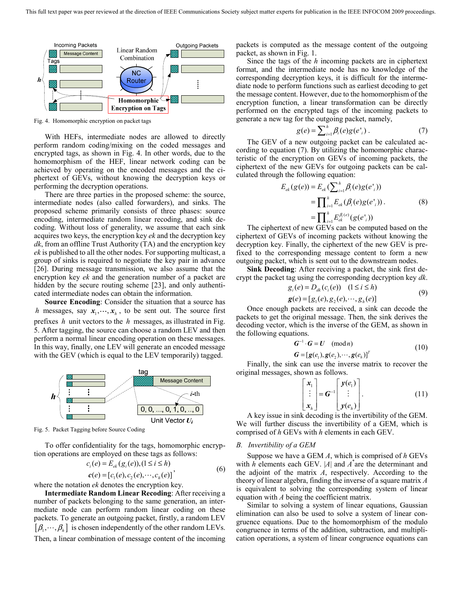

Fig. 4. Homomorphic encryption on packet tags

With HEFs, intermediate nodes are allowed to directly perform random coding/mixing on the coded messages and encrypted tags, as shown in Fig. 4. In other words, due to the homomorphism of the HEF, linear network coding can be achieved by operating on the encoded messages and the ciphertext of GEVs, without knowing the decryption keys or performing the decryption operations.

There are three parties in the proposed scheme: the source, intermediate nodes (also called forwarders), and sinks. The proposed scheme primarily consists of three phases: source encoding, intermediate random linear recoding, and sink decoding. Without loss of generality, we assume that each sink acquires two keys, the encryption key *ek* and the decryption key *dk*, from an offline Trust Authority (TA) and the encryption key *ek* is published to all the other nodes. For supporting multicast, a group of sinks is required to negotiate the key pair in advance [26]. During message transmission, we also assume that the encryption key *ek* and the generation number of a packet are hidden by the secure routing scheme [23], and only authenticated intermediate nodes can obtain the information.

**Source Encoding**: Consider the situation that a source has *h* messages, say  $x_1, \dots, x_h$ , to be sent out. The source first prefixes *h* unit vectors to the *h* messages, as illustrated in Fig. 5. After tagging, the source can choose a random LEV and then perform a normal linear encoding operation on these messages. In this way, finally, one LEV will generate an encoded message with the GEV (which is equal to the LEV temporarily) tagged.



Fig. 5. Packet Tagging before Source Coding

To offer confidentiality for the tags, homomorphic encryption operations are employed on these tags as follows:

$$
c_i(e) = E_{ek}(g_i(e)), (1 \le i \le h)
$$
  
\n
$$
c(e) = [c_1(e), c_2(e), \cdots, c_h(e)]'
$$
 (6)

where the notation *ek* denotes the encryption key.

**Intermediate Random Linear Recoding**: After receiving a number of packets belonging to the same generation, an intermediate node can perform random linear coding on these packets. To generate an outgoing packet, firstly, a random LEV  $[\beta_1, \dots, \beta_k]$  is chosen independently of the other random LEVs. Then, a linear combination of message content of the incoming

packets is computed as the message content of the outgoing packet, as shown in Fig. 1.

Since the tags of the *h* incoming packets are in ciphertext format, and the intermediate node has no knowledge of the corresponding decryption keys, it is difficult for the intermediate node to perform functions such as earliest decoding to get the message content. However, due to the homomorphism of the encryption function, a linear transformation can be directly performed on the encrypted tags of the incoming packets to generate a new tag for the outgoing packet, namely,

$$
g(e) = \sum_{i=1}^{h} \beta_i(e)g(e'_i).
$$
 (7)

The GEV of a new outgoing packet can be calculated according to equation (7). By utilizing the homomorphic characteristic of the encryption on GEVs of incoming packets, the ciphertext of the new GEVs for outgoing packets can be calculated through the following equation:

$$
E_{ek}(g(e)) = E_{ek}(\sum_{i=1}^{h} \beta_{i}(e)g(e_{i}'))
$$
  
= 
$$
\prod_{i=1}^{h} E_{ek}(\beta_{i}(e)g(e_{i}'))
$$
  
= 
$$
\prod_{i=1}^{h} E_{ek}^{\beta_{i}(e)}(g(e_{i}'))
$$
 (8)

The ciphertext of new GEVs can be computed based on the ciphertext of GEVs of incoming packets without knowing the decryption key. Finally, the ciphertext of the new GEV is prefixed to the corresponding message content to form a new outgoing packet, which is sent out to the downstream nodes.

**Sink Decoding**: After receiving a packet, the sink first decrypt the packet tag using the corresponding decryption key *dk*.

$$
g_i(e) = D_{dk}(c_i(e)) \quad (1 \le i \le h)
$$

$$
g(e) = [g_1(e), g_2(e), \cdots, g_h(e)] \tag{9}
$$

Once enough packets are received, a sink can decode the packets to get the original message. Then, the sink derives the decoding vector, which is the inverse of the GEM, as shown in the following equations.

$$
\boldsymbol{G}^{-1} \cdot \boldsymbol{G} = \boldsymbol{U} \pmod{n} \tag{10}
$$

$$
\boldsymbol{G} = [\boldsymbol{g}(e_1), \boldsymbol{g}(e_2), \cdots, \boldsymbol{g}(e_h)]^T
$$

Finally, the sink can use the inverse matrix to recover the original messages, shown as follows.

$$
\begin{bmatrix} x_1 \\ \vdots \\ x_h \end{bmatrix} = \mathbf{G}^{-1} \begin{bmatrix} y(e_1) \\ \vdots \\ y(e_h) \end{bmatrix} . \tag{11}
$$

A key issue in sink decoding is the invertibility of the GEM. We will further discuss the invertibility of a GEM, which is comprised of *h* GEVs with *h* elements in each GEV.

#### *B. Invertibility of a GEM*

Suppose we have a GEM *A*, which is comprised of *h* GEVs with  $h$  elements each GEV. |A| and  $A^*$  are the determinant and the adjoint of the matrix *A*, respectively. According to the theory of linear algebra, finding the inverse of a square matrix *A* is equivalent to solving the corresponding system of linear equation with *A* being the coefficient matrix.

Similar to solving a system of linear equations, Gaussian elimination can also be used to solve a system of linear congruence equations. Due to the homomorphism of the modulo congruence in terms of the addition, subtraction, and multiplication operations, a system of linear congruence equations can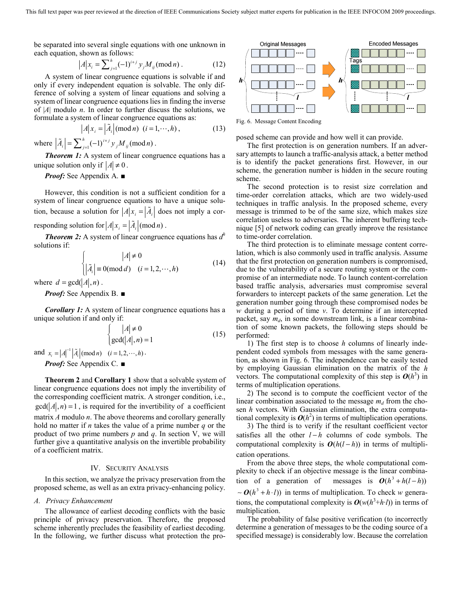be separated into several single equations with one unknown in each equation, shown as follows:

$$
|A|x_i = \sum_{j=1}^h (-1)^{i+j} y_j M_{ij} \pmod{n} \,.
$$
 (12)

A system of linear congruence equations is solvable if and only if every independent equation is solvable. The only difference of solving a system of linear equations and solving a system of linear congruence equations lies in finding the inverse of |*A*| modulo *n*. In order to further discuss the solutions, we formulate a system of linear congruence equations as:

$$
|A|x_i = |\tilde{A}_i| \text{ (mod } n) \ \ (i = 1, \cdots, h) \,, \tag{13}
$$

where  $|\tilde{A}_i| = \sum_{j=1}^h (-1)^{i+j} y_j M_{ij} \pmod{n}$ .

*Theorem 1:* A system of linear congruence equations has a unique solution only if  $|A| \neq 0$ .

*Proof:* See Appendix A. ■

However, this condition is not a sufficient condition for a system of linear congruence equations to have a unique solution, because a solution for  $|A| x_i = |A_i|$  does not imply a corresponding solution for  $|A| x_i = |A_i| \pmod{n}$ .

*Theorem 2:* A system of linear congruence equations has *d<sup>h</sup>* solutions if:

$$
\begin{cases}\n|A| \neq 0 \\
|\tilde{A}_i| \equiv 0 \pmod{d} \quad (i = 1, 2, \cdots, h)\n\end{cases}
$$
\n(14)

where  $d = \gcd(|A|, n)$ .

*Proof:* See Appendix B. ■

*Corollary 1:* A system of linear congruence equations has a unique solution if and only if:

$$
\begin{cases} |A| \neq 0\\ \gcd(|A|, n) = 1 \end{cases}
$$
 (15)

and  $x_i = |A|^{-1} |\tilde{A}_i| \pmod{n}$   $(i = 1, 2, \dots, h)$ .

*Proof:* See Appendix C. ■

**Theorem 2** and **Corollary 1** show that a solvable system of linear congruence equations does not imply the invertibility of the corresponding coefficient matrix. A stronger condition, i.e.,  $gcd(|A|, n) = 1$ , is required for the invertibility of a coefficient matrix *A* modulo *n*. The above theorems and corollary generally hold no matter if *n* takes the value of a prime number *q* or the product of two prime numbers *p* and *q*. In section V, we will further give a quantitative analysis on the invertible probability of a coefficient matrix.

# IV. SECURITY ANALYSIS

In this section, we analyze the privacy preservation from the proposed scheme, as well as an extra privacy-enhancing policy.

#### *A. Privacy Enhancement*

The allowance of earliest decoding conflicts with the basic principle of privacy preservation. Therefore, the proposed scheme inherently precludes the feasibility of earliest decoding. In the following, we further discuss what protection the pro-



Fig. 6. Message Content Encoding

posed scheme can provide and how well it can provide.

The first protection is on generation numbers. If an adversary attempts to launch a traffic-analysis attack, a better method is to identify the packet generations first. However, in our scheme, the generation number is hidden in the secure routing scheme.

The second protection is to resist size correlation and time-order correlation attacks, which are two widely-used techniques in traffic analysis. In the proposed scheme, every message is trimmed to be of the same size, which makes size correlation useless to adversaries. The inherent buffering technique [5] of network coding can greatly improve the resistance to time-order correlation.

The third protection is to eliminate message content correlation, which is also commonly used in traffic analysis. Assume that the first protection on generation numbers is compromised, due to the vulnerability of a secure routing system or the compromise of an intermediate node. To launch content-correlation based traffic analysis, adversaries must compromise several forwarders to intercept packets of the same generation. Let the generation number going through these compromised nodes be *w* during a period of time *v*. To determine if an intercepted packet, say  $m_d$ , in some downstream link, is a linear combination of some known packets, the following steps should be performed:

1) The first step is to choose *h* columns of linearly independent coded symbols from messages with the same generation, as shown in Fig. 6. The independence can be easily tested by employing Gaussian elimination on the matrix of the *h* vectors. The computational complexity of this step is  $O(h^3)$  in terms of multiplication operations.

2) The second is to compute the coefficient vector of the linear combination associated to the message  $m_d$  from the chosen *h* vectors. With Gaussian elimination, the extra computational complexity is  $O(h^2)$  in terms of multiplication operations.

3) The third is to verify if the resultant coefficient vector satisfies all the other  $l - h$  columns of code symbols. The computational complexity is  $O(h(l-h))$  in terms of multiplication operations.

From the above three steps, the whole computational complexity to check if an objective message is the linear combination of a generation of messages is  $O(h^3 + h(l - h))$ ~  $O(h^3 + h \cdot l)$  in terms of multiplication. To check *w* generations, the computational complexity is  $O(w(h^3 + h \cdot l))$  in terms of multiplication.

The probability of false positive verification (to incorrectly determine a generation of messages to be the coding source of a specified message) is considerably low. Because the correlation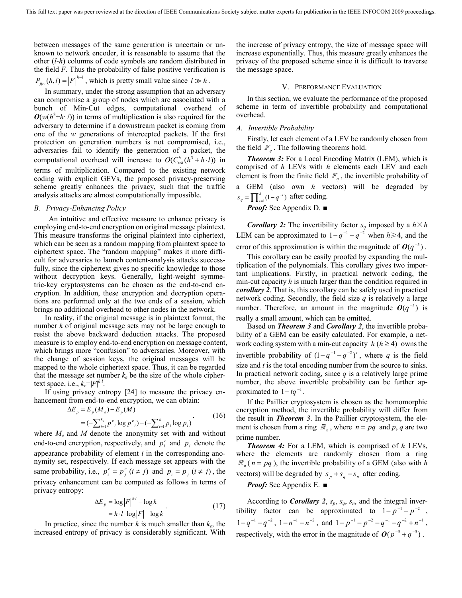between messages of the same generation is uncertain or unknown to network encoder, it is reasonable to assume that the other (*l-h*) columns of code symbols are random distributed in the field *F*. Thus the probability of false positive verification is

$$
P_{\text{fpv}}(h,l) = |F|^{h-l}
$$
, which is pretty small value since  $l \gg h$ .

In summary, under the strong assumption that an adversary can compromise a group of nodes which are associated with a bunch of Min-Cut edges, computational overhead of  $O(w(h^3 + h \cdot I))$  in terms of multiplication is also required for the adversary to determine if a downstream packet is coming from one of the *w* generations of intercepted packets. If the first protection on generation numbers is not compromised, i.e., adversaries fail to identify the generation of a packet, the computational overhead will increase to  $O(C_{wh}^h(h^3 + h \cdot l))$  in terms of multiplication. Compared to the existing network coding with explicit GEVs, the proposed privacy-preserving scheme greatly enhances the privacy, such that the traffic analysis attacks are almost computationally impossible.

## *B. Privacy-Enhancing Policy*

An intuitive and effective measure to enhance privacy is employing end-to-end encryption on original message plaintext. This measure transforms the original plaintext into ciphertext, which can be seen as a random mapping from plaintext space to ciphertext space. The "random mapping" makes it more difficult for adversaries to launch content-analysis attacks successfully, since the ciphertext gives no specific knowledge to those without decryption keys. Generally, light-weight symmetric-key cryptosystems can be chosen as the end-to-end encryption. In addition, these encryption and decryption operations are performed only at the two ends of a session, which brings no additional overhead to other nodes in the network.

In reality, if the original message is in plaintext format, the number *k* of original message sets may not be large enough to resist the above backward deduction attacks. The proposed measure is to employ end-to-end encryption on message content, which brings more "confusion" to adversaries. Moreover, with the change of session keys, the original messages will be mapped to the whole ciphertext space. Thus, it can be regarded that the message set number  $k_e$  be the size of the whole ciphertext space, i.e.,  $k_e = |F|^{h.l}$ .

If using privacy entropy [24] to measure the privacy enhancement from end-to-end encryption, we can obtain:

$$
\Delta E_p = E_p(M_e) - E_p(M)
$$
  
=  $(-\sum_{i=1}^{k_e} p^e_i \log p^e_i) - (-\sum_{i=1}^{k} p_i \log p_i)$  (16)

where *Me* and *M* denote the anonymity set with and without end-to-end encryption, respectively, and  $p_i^e$  and  $p_i$  denote the appearance probability of element *i* in the corresponding anonymity set, respectively. If each message set appears with the same probability, i.e.,  $p_i^e = p_j^e$   $(i \neq j)$  and  $p_i = p_j$   $(i \neq j)$ , the privacy enhancement can be computed as follows in terms of privacy entropy:

$$
\Delta E_p = \log |F|^{h/l} - \log k
$$
  
=  $h \cdot l \cdot \log |F| - \log k$  (17)

In practice, since the number  $k$  is much smaller than  $k_e$ , the increased entropy of privacy is considerably significant. With the increase of privacy entropy, the size of message space will increase exponentially. Thus, this measure greatly enhances the privacy of the proposed scheme since it is difficult to traverse the message space.

## V. PERFORMANCE EVALUATION

In this section, we evaluate the performance of the proposed scheme in term of invertible probability and computational overhead.

## *A. Invertible Probability*

Firstly, let each element of a LEV be randomly chosen from the field  $\mathbb{F}_q$ . The following theorems hold.

*Theorem 3:* For a Local Encoding Matrix (LEM), which is comprised of *h* LEVs with *h* elements each LEV and each element is from the finite field  $\mathbb{F}_q$ , the invertible probability of a GEM (also own *h* vectors) will be degraded by  $s_q = \prod_{i=1}^{h} (1 - q^{-i})$  after coding.

# *Proof:* See Appendix D. ■

*Corollary 2:* The invertibility factor  $s_q$  imposed by a  $h \times h$ LEM can be approximated to  $1 - q^{-1} - q^{-2}$  when  $h \ge 4$ , and the error of this approximation is within the magnitude of  $O(q^{-5})$ .

This corollary can be easily proofed by expanding the multiplication of the polynomials. This corollary gives two important implications. Firstly, in practical network coding, the min-cut capacity *h* is much larger than the condition required in *corollary 2*. That is, this corollary can be safely used in practical network coding. Secondly, the field size *q* is relatively a large number. Therefore, an amount in the magnitude  $O(q^{-5})$  is really a small amount, which can be omitted.

Based on *Theorem 3* and *Corollary 2*, the invertible probability of a GEM can be easily calculated. For example, a network coding system with a min-cut capacity  $h ( h \ge 4)$  owns the invertible probability of  $(1 - q^{-1} - q^{-2})^t$ , where *q* is the field size and *t* is the total encoding number from the source to sinks. In practical network coding, since  $q$  is a relatively large prime number, the above invertible probability can be further approximated to  $1 - tq^{-1}$ .

If the Paillier cryptosystem is chosen as the homomorphic encryption method, the invertible probability will differ from the result in *Theorem 3*. In the Paillier cryptosystem, the element is chosen from a ring  $\mathbb{R}_n$ , where  $n = pq$  and p, q are two prime number.

*Theorem 4:* For a LEM, which is comprised of *h* LEVs, where the elements are randomly chosen from a ring  $\mathbb{R}_n$  ( $n = pq$ ), the invertible probability of a GEM (also with *h* vectors) will be degraded by  $s_p + s_q - s_n$  after coding.

*Proof:* See Appendix E. ■

According to *Corollary 2*,  $s_p$ ,  $s_q$ ,  $s_n$ , and the integral invertibility factor can be approximated to  $1 - p^{-1} - p^{-2}$  $1 - q^{-1} - q^{-2}$ ,  $1 - n^{-1} - n^{-2}$ , and  $1 - p^{-1} - p^{-2} - q^{-1} - q^{-2} + n^{-1}$ , respectively, with the error in the magnitude of  $O(p^{-5} + q^{-5})$ .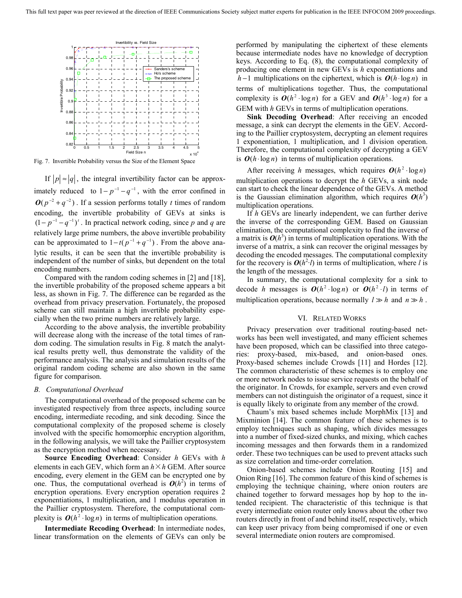

Fig. 7. Invertible Probability versus the Size of the Element Space

If  $|p| \approx |q|$ , the integral invertibility factor can be approximately reduced to  $1 - p^{-1} - q^{-1}$ , with the error confined in  $Q(p^{-2} + q^{-2})$ . If a session performs totally *t* times of random encoding, the invertible probability of GEVs at sinks is  $(1 - p^{-1} - q^{-1})^t$ . In practical network coding, since *p* and *q* are relatively large prime numbers, the above invertible probability can be approximated to  $1 - t(p^{-1} + q^{-1})$ . From the above analytic results, it can be seen that the invertible probability is independent of the number of sinks, but dependent on the total encoding numbers.

Compared with the random coding schemes in [2] and [18], the invertible probability of the proposed scheme appears a bit less, as shown in Fig. 7. The difference can be regarded as the overhead from privacy preservation. Fortunately, the proposed scheme can still maintain a high invertible probability especially when the two prime numbers are relatively large.

According to the above analysis, the invertible probability will decrease along with the increase of the total times of random coding. The simulation results in Fig. 8 match the analytical results pretty well, thus demonstrate the validity of the performance analysis. The analysis and simulation results of the original random coding scheme are also shown in the same figure for comparison.

# *B. Computational Overhead*

The computational overhead of the proposed scheme can be investigated respectively from three aspects, including source encoding, intermediate recoding, and sink decoding. Since the computational complexity of the proposed scheme is closely involved with the specific homomorphic encryption algorithm, in the following analysis, we will take the Paillier cryptosystem as the encryption method when necessary.

**Source Encoding Overhead**: Consider *h* GEVs with *h* elements in each GEV, which form an  $h \times h$  GEM. After source encoding, every element in the GEM can be encrypted one by one. Thus, the computational overhead is  $O(h^2)$  in terms of encryption operations. Every encryption operation requires 2 exponentiations, 1 multiplication, and 1 modulus operation in the Paillier cryptosystem. Therefore, the computational complexity is  $O(h^2 \cdot \log n)$  in terms of multiplication operations.

**Intermediate Recoding Overhead**: In intermediate nodes, linear transformation on the elements of GEVs can only be performed by manipulating the ciphertext of these elements because intermediate nodes have no knowledge of decryption keys. According to Eq. (8), the computational complexity of producing one element in new GEVs is *h* exponentiations and *h* −1 multiplications on the ciphertext, which is  $O(h \cdot \log n)$  in terms of multiplications together. Thus, the computational complexity is  $O(h^2 \cdot \log n)$  for a GEV and  $O(h^3 \cdot \log n)$  for a GEM with *h* GEVs in terms of multiplication operations.

**Sink Decoding Overhead**: After receiving an encoded message, a sink can decrypt the elements in the GEV. According to the Paillier cryptosystem, decrypting an element requires 1 exponentiation, 1 multiplication, and 1 division operation. Therefore, the computational complexity of decrypting a GEV is  $O(h \cdot \log n)$  in terms of multiplication operations.

After receiving *h* messages, which requires  $O(h^2 \cdot \log n)$ multiplication operations to decrypt the *h* GEVs, a sink node can start to check the linear dependence of the GEVs. A method is the Gaussian elimination algorithm, which requires  $O(h^3)$ multiplication operations.

If *h* GEVs are linearly independent, we can further derive the inverse of the corresponding GEM. Based on Gaussian elimination, the computational complexity to find the inverse of a matrix is  $O(h^3)$  in terms of multiplication operations. With the inverse of a matrix, a sink can recover the original messages by decoding the encoded messages. The computational complexity for the recovery is  $O(h^2 \cdot l)$  in terms of multiplication, where *l* is the length of the messages.

In summary, the computational complexity for a sink to decode *h* messages is  $O(h^2 \cdot \log n)$  or  $O(h^2 \cdot l)$  in terms of multiplication operations, because normally  $l \gg h$  and  $n \gg h$ .

### VI. RELATED WORKS

Privacy preservation over traditional routing-based networks has been well investigated, and many efficient schemes have been proposed, which can be classified into three categories: proxy-based, mix-based, and onion-based ones. Proxy-based schemes include Crowds [11] and Hordes [12]. The common characteristic of these schemes is to employ one or more network nodes to issue service requests on the behalf of the originator. In Crowds, for example, servers and even crowd members can not distinguish the originator of a request, since it is equally likely to originate from any member of the crowd.

Chaum's mix based schemes include MorphMix [13] and Mixminion [14]. The common feature of these schemes is to employ techniques such as shaping, which divides messages into a number of fixed-sized chunks, and mixing, which caches incoming messages and then forwards them in a randomized order. These two techniques can be used to prevent attacks such as size correlation and time-order correlation.

Onion-based schemes include Onion Routing [15] and Onion Ring [16]. The common feature of this kind of schemes is employing the technique chaining, where onion routers are chained together to forward messages hop by hop to the intended recipient. The characteristic of this technique is that every intermediate onion router only knows about the other two routers directly in front of and behind itself, respectively, which can keep user privacy from being compromised if one or even several intermediate onion routers are compromised.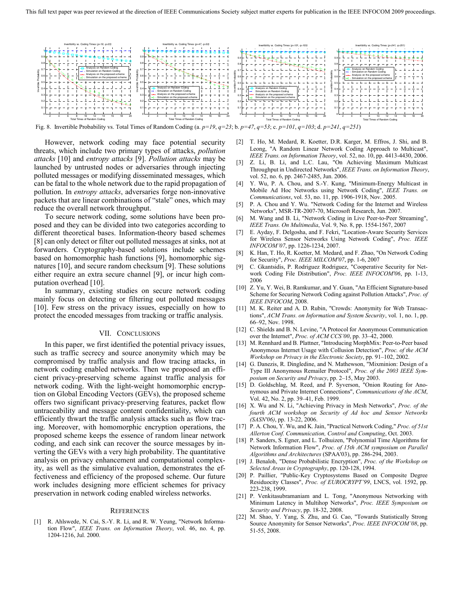

Fig. 8. Invertible Probability vs. Total Times of Random Coding (a. *p=19*, *q=23*; b. *p=47*, *q=53*; c. *p=101*, *q=103*; d. *p=241*, *q=251*)

However, network coding may face potential security threats, which include two primary types of attacks, *pollution attacks* [10] and *entropy attacks* [9]. *Pollution attacks* may be launched by untrusted nodes or adversaries through injecting polluted messages or modifying disseminated messages, which can be fatal to the whole network due to the rapid propagation of pollution. In *entropy attacks*, adversaries forge non-innovative packets that are linear combinations of "stale" ones, which may reduce the overall network throughput.

To secure network coding, some solutions have been proposed and they can be divided into two categories according to different theoretical bases. Information-theory based schemes [8] can only detect or filter out polluted messages at sinks, not at forwarders. Cryptography-based solutions include schemes based on homomorphic hash functions [9], homomorphic signatures [10], and secure random checksum [9]. These solutions either require an extra secure channel [9], or incur high computation overhead [10].

In summary, existing studies on secure network coding mainly focus on detecting or filtering out polluted messages [10]. Few stress on the privacy issues, especially on how to protect the encoded messages from tracking or traffic analysis.

#### VII. CONCLUSIONS

In this paper, we first identified the potential privacy issues, such as traffic secrecy and source anonymity which may be compromised by traffic analysis and flow tracing attacks, in network coding enabled networks. Then we proposed an efficient privacy-preserving scheme against traffic analysis for network coding. With the light-weight homomorphic encryption on Global Encoding Vectors (GEVs), the proposed scheme offers two significant privacy-preserving features, packet flow untraceability and message content confidentiality, which can efficiently thwart the traffic analysis attacks such as flow tracing. Moreover, with homomorphic encryption operations, the proposed scheme keeps the essence of random linear network coding, and each sink can recover the source messages by inverting the GEVs with a very high probability. The quantitative analysis on privacy enhancement and computational complexity, as well as the simulative evaluation, demonstrates the effectiveness and efficiency of the proposed scheme. Our future work includes designing more efficient schemes for privacy preservation in network coding enabled wireless networks.

#### **REFERENCES**

[1] R. Ahlswede, N. Cai, S.-Y. R. Li, and R. W. Yeung, "Network Information Flow", *IEEE Trans. on Information Theory*, vol. 46, no. 4, pp. 1204-1216, Jul. 2000.

- [2] T. Ho, M. Medard, R. Koetter, D.R. Karger, M. Effros, J. Shi, and B. Leong, "A Random Linear Network Coding Approach to Multicast", *IEEE Trans. on Information Theory*, vol. 52, no. 10, pp. 4413-4430, 2006.
- [3] Z. Li, B. Li, and L.C. Lau, "On Achieving Maximum Multicast Throughput in Undirected Networks", *IEEE Trans. on Information Theory*, vol. 52, no. 6, pp. 2467-2485, Jun. 2006.
- [4] Y. Wu, P. A. Chou, and S.-Y. Kung, "Minimum-Energy Multicast in Mobile Ad Hoc Networks using Network Coding", *IEEE Trans. on Communications*, vol. 53, no. 11, pp. 1906-1918, Nov. 2005.
- [5] P. A. Chou and Y. Wu. "Network Coding for the Internet and Wireless Networks", MSR-TR-2007-70, Microsoft Research, Jun. 2007.
- [6] M. Wang and B. Li, "Network Coding in Live Peer-to-Peer Streaming", *IEEE Trans. On Multimedia*, Vol. 9, No. 8, pp. 1554-1567, 2007
- [7] E. Ayday, F. Delgosha, and F. Fekri, "Location-Aware Security Services for Wireless Sensor Networks Using Network Coding", *Proc. IEEE INFOCOM'07*, pp. 1226-1234, 2007.
- [8] K. Han, T. Ho, R. Koetter, M. Medard, and F. Zhao, "On Network Coding for Security", *Proc. IEEE MILCOM'07*, pp. 1-6, 2007
- [9] C. Gkantsidis, P. Rodriguez Rodriguez, "Cooperative Security for Network Coding File Distribution", *Proc. IEEE INFOCOM'06*, pp. 1-13, 2006
- [10] Z. Yu, Y. Wei, B. Ramkumar, and Y. Guan, "An Efficient Signature-based Scheme for Securing Network Coding against Pollution Attacks", *Proc. of IEEE INFOCOM*, 2008.
- [11] M. K. Reiter and A. D. Rubin, "Crowds: Anonymity for Web Transactions", *ACM Trans. on Information and System Security*, vol. 1, no. 1, pp. 66–92, Nov. 1998.
- [12] C. Shields and B. N. Levine, "A Protocol for Anonymous Communication over the Internet", *Proc. of ACM CCS'00*, pp. 33–42, 2000.
- [13] M. Rennhard and B. Plattner, "Introducing MorphMix: Peer-to-Peer based Anonymous Internet Usage with Collusion Detection", *Proc. of the ACM Workshop on Privacy in the Electronic Society*, pp. 91–102, 2002.
- [14] G. Danezis, R. Dingledine, and N. Mathewson, "Mixminion: Design of a Type III Anonymous Remailer Protocol", *Proc. of the 2003 IEEE Symposium on Security and Privacy*, pp. 2–15, May 2003.
- [15] D. Goldschlag, M. Reed, and P. Syverson, "Onion Routing for Anonymous and Private Internet Connections", *Communications of the ACM*, Vol. 42, No. 2, pp. 39–41, Feb. 1999.
- [16] X. Wu and N. Li, "Achieving Privacy in Mesh Networks", *Proc. of the fourth ACM workshop on Security of Ad hoc and Sensor Networks (SASN'06)*, pp. 13-22, 2006.
- [17] P. A. Chou, Y. Wu, and K. Jain, "Practical Network Coding," *Proc. of 51st Allerton Conf. Communication, Control and Computing*, Oct. 2003.
- [18] P. Sanders, S. Egner, and L. Tolhuizen, "Polynomial Time Algorithms for Network Information Flow", *Proc. of 15th ACM symposium on Parallel Algorithms and Architectures* (SPAA'03), pp. 286-294, 2003.
- [19] J. Benaloh, "Dense Probabilistic Encryption", *Proc. of the Workshop on Selected Areas in Cryptography*, pp. 120-128, 1994.
- [20] P. Paillier, "Public-Key Cryptosystems Based on Composite Degree Residuocity Classes", *Proc. of EUROCRYPT'99*, LNCS, vol. 1592, pp. 223-238, 1999.
- [21] P. Venkitasubramaniam and L. Tong, "Anonymous Networking with Minimum Latency in Multihop Networks", *Proc. IEEE Symposium on Security and Privacy*, pp. 18-32, 2008.
- [22] M. Shao, Y. Yang, S. Zhu, and G. Cao, "Towards Statistically Strong Source Anonymity for Sensor Networks", *Proc. IEEE INFOCOM'08*, pp. 51-55, 2008.